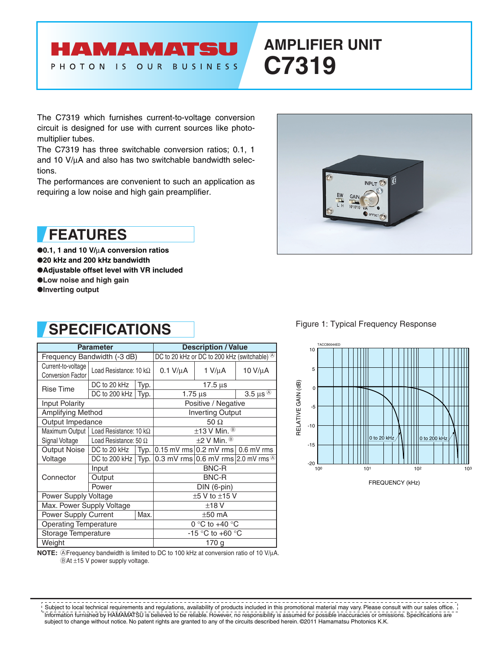### HAMAMATS PHOTON IS OUR **BUSINESS**

# **AMPLIFIER UNIT C7319**

The C7319 which furnishes current-to-voltage conversion circuit is designed for use with current sources like photomultiplier tubes.

The C7319 has three switchable conversion ratios; 0.1, 1 and 10 V/ $\mu$ A and also has two switchable bandwidth selections.

The performances are convenient to such an application as requiring a low noise and high gain preamplifier.



●**0.1, 1 and 10 V/**µ**A conversion ratios** ●**20 kHz and 200 kHz bandwidth** ●**Adjustable offset level with VR included** ●**Low noise and high gain**

●**Inverting output**

## **SPECIFICATIONS**

|                                                | <b>Parameter</b>                        |      | <b>Description / Value</b>                                    |                                                       |         |  |
|------------------------------------------------|-----------------------------------------|------|---------------------------------------------------------------|-------------------------------------------------------|---------|--|
|                                                | Frequency Bandwidth (-3 dB)             |      | DC to 20 kHz or DC to 200 kHz (switchable) $\circledcirc$     |                                                       |         |  |
| Current-to-voltage<br><b>Conversion Factor</b> | Load Resistance: 10 k $\Omega$          |      | $0.1$ V/ $\mu$ A                                              | $1 V/\mu A$                                           | 10 V/μA |  |
| <b>Rise Time</b>                               | DC to 20 kHz<br>Typ.                    |      | $17.5 \,\mu s$                                                |                                                       |         |  |
|                                                | DC to 200 kHz<br>Typ.                   |      | 3.5 $\mu$ s $\textcircled{A}$<br>$1.75 \,\mathrm{\mu s}$      |                                                       |         |  |
| Input Polarity                                 |                                         |      | Positive / Negative                                           |                                                       |         |  |
| <b>Amplifying Method</b>                       |                                         |      | <b>Inverting Output</b>                                       |                                                       |         |  |
| Output Impedance                               |                                         |      | 50 $\Omega$                                                   |                                                       |         |  |
|                                                | Maximum Output   Load Resistance: 10 kΩ |      | $\pm$ 13 V Min. $\textcircled{\tiny{\textcircled{\tiny{R}}}}$ |                                                       |         |  |
| Signal Voltage                                 | Load Resistance: 50 $\Omega$            |      | $\pm$ 2 V Min. $\circledcirc$                                 |                                                       |         |  |
| Output Noise                                   | DC to 20 kHz                            | Typ. |                                                               | $0.15$ mV rms $0.2$ mV rms $0.6$ mV rms               |         |  |
| Voltage                                        | DC to 200 kHz                           | Typ. |                                                               | 0.3 mV rms $ 0.6$ mV rms $ 2.0$ mV rms $\circledcirc$ |         |  |
| Connector                                      | Input                                   |      | <b>BNC-R</b>                                                  |                                                       |         |  |
|                                                | Output                                  |      | <b>BNC-R</b>                                                  |                                                       |         |  |
|                                                | Power                                   |      | DIN (6-pin)                                                   |                                                       |         |  |
| Power Supply Voltage                           |                                         |      | $±5$ V to $±15$ V                                             |                                                       |         |  |
| Max. Power Supply Voltage                      |                                         |      | ±18V                                                          |                                                       |         |  |
| <b>Power Supply Current</b><br>Max.            |                                         |      | $\pm 50$ mA                                                   |                                                       |         |  |
| <b>Operating Temperature</b>                   |                                         |      | 0 °C to +40 °C                                                |                                                       |         |  |
| Storage Temperature                            |                                         |      | -15 °C to +60 °C                                              |                                                       |         |  |
| Weight                                         |                                         |      | 170 g                                                         |                                                       |         |  |



Figure 1: Typical Frequency Response



**NOTE:** @Frequency bandwidth is limited to DC to 100 kHz at conversion ratio of 10 V/µA. BAt ±15 V power supply voltage.

 $\omega$   $\omega$   $\omega$ . . . . . . . ----------------------- $\frac{1}{2} \frac{1}{2} \frac{1}{2} \frac{1}{2} \frac{1}{2} \frac{1}{2} \frac{1}{2} \frac{1}{2} \frac{1}{2} \frac{1}{2} \frac{1}{2} \frac{1}{2} \frac{1}{2} \frac{1}{2} \frac{1}{2} \frac{1}{2} \frac{1}{2} \frac{1}{2} \frac{1}{2} \frac{1}{2} \frac{1}{2} \frac{1}{2} \frac{1}{2} \frac{1}{2} \frac{1}{2} \frac{1}{2} \frac{1}{2} \frac{1}{2} \frac{1}{2} \frac{1}{2} \frac{1}{2} \frac{$ Subject to local technical requirements and regulations, availability of products included in this promotional material may vary. Please consult with our sales office. Information furnished by HAMAMATSU is believed to be reliable. However, no responsibility is assumed for possible inaccuracies or omissions. Specifications are subject to change without notice. No patent rights are granted to any of the circuits described herein. ©2011 Hamamatsu Photonics K.K.